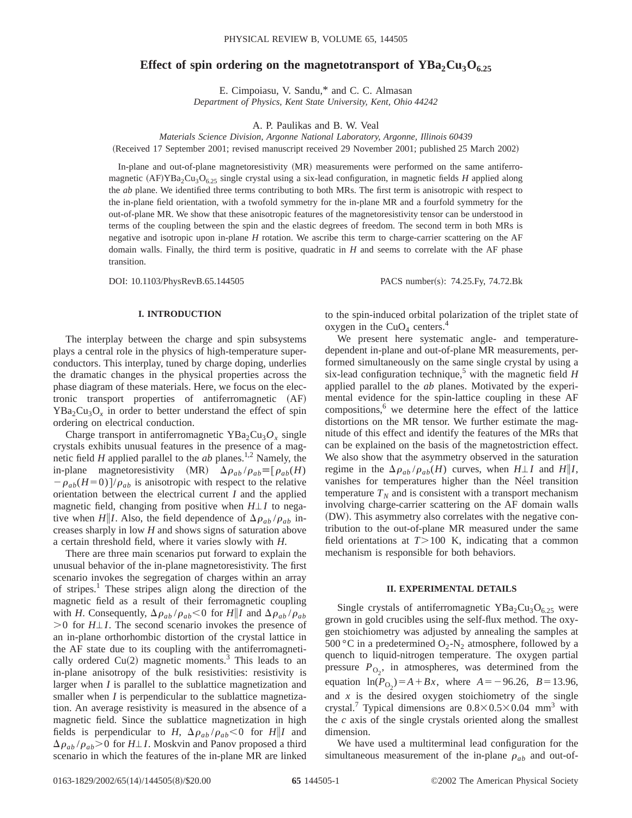# Effect of spin ordering on the magnetotransport of  $YBa<sub>2</sub>Cu<sub>3</sub>O<sub>6.25</sub>$

E. Cimpoiasu, V. Sandu,\* and C. C. Almasan *Department of Physics, Kent State University, Kent, Ohio 44242*

A. P. Paulikas and B. W. Veal

*Materials Science Division, Argonne National Laboratory, Argonne, Illinois 60439*

(Received 17 September 2001; revised manuscript received 29 November 2001; published 25 March 2002)

In-plane and out-of-plane magnetoresistivity (MR) measurements were performed on the same antiferromagnetic  $(AF)YBa_2Cu_3O_{6.25}$  single crystal using a six-lead configuration, in magnetic fields *H* applied along the *ab* plane. We identified three terms contributing to both MRs. The first term is anisotropic with respect to the in-plane field orientation, with a twofold symmetry for the in-plane MR and a fourfold symmetry for the out-of-plane MR. We show that these anisotropic features of the magnetoresistivity tensor can be understood in terms of the coupling between the spin and the elastic degrees of freedom. The second term in both MRs is negative and isotropic upon in-plane *H* rotation. We ascribe this term to charge-carrier scattering on the AF domain walls. Finally, the third term is positive, quadratic in *H* and seems to correlate with the AF phase transition.

DOI: 10.1103/PhysRevB.65.144505 PACS number(s): 74.25.Fy, 74.72.Bk

# **I. INTRODUCTION**

The interplay between the charge and spin subsystems plays a central role in the physics of high-temperature superconductors. This interplay, tuned by charge doping, underlies the dramatic changes in the physical properties across the phase diagram of these materials. Here, we focus on the electronic transport properties of antiferromagnetic (AF)  $YBa<sub>2</sub>Cu<sub>3</sub>O<sub>x</sub>$  in order to better understand the effect of spin ordering on electrical conduction.

Charge transport in antiferromagnetic  $YBa<sub>2</sub>Cu<sub>3</sub>O<sub>x</sub>$  single crystals exhibits unusual features in the presence of a magnetic field  $H$  applied parallel to the  $ab$  planes.<sup>1,2</sup> Namely, the in-plane magnetoresistivity (MR)  $\Delta \rho_{ab} / \rho_{ab} \equiv [\rho_{ab}(H)]$  $-\rho_{ab}(H=0)/\rho_{ab}$  is anisotropic with respect to the relative orientation between the electrical current *I* and the applied magnetic field, changing from positive when  $H \perp I$  to negative when *H*||*I*. Also, the field dependence of  $\Delta \rho_{ab} / \rho_{ab}$  increases sharply in low *H* and shows signs of saturation above a certain threshold field, where it varies slowly with *H*.

There are three main scenarios put forward to explain the unusual behavior of the in-plane magnetoresistivity. The first scenario invokes the segregation of charges within an array of stripes.1 These stripes align along the direction of the magnetic field as a result of their ferromagnetic coupling with *H*. Consequently,  $\Delta \rho_{ab} / \rho_{ab} < 0$  for *H*||*I* and  $\Delta \rho_{ab} / \rho_{ab}$  $>0$  for *H* $\perp$ *I*. The second scenario invokes the presence of an in-plane orthorhombic distortion of the crystal lattice in the AF state due to its coupling with the antiferromagnetically ordered  $Cu(2)$  magnetic moments.<sup>3</sup> This leads to an in-plane anisotropy of the bulk resistivities: resistivity is larger when *I* is parallel to the sublattice magnetization and smaller when *I* is perpendicular to the sublattice magnetization. An average resistivity is measured in the absence of a magnetic field. Since the sublattice magnetization in high fields is perpendicular to *H*,  $\Delta \rho_{ab} / \rho_{ab} < 0$  for *H*||*I* and  $\Delta\rho_{ab}/\rho_{ab}$  > 0 for *H* $\perp$ *I*. Moskvin and Panov proposed a third scenario in which the features of the in-plane MR are linked to the spin-induced orbital polarization of the triplet state of oxygen in the  $CuO<sub>4</sub>$  centers.<sup>4</sup>

We present here systematic angle- and temperaturedependent in-plane and out-of-plane MR measurements, performed simultaneously on the same single crystal by using a six-lead configuration technique,<sup>5</sup> with the magnetic field  $H$ applied parallel to the *ab* planes. Motivated by the experimental evidence for the spin-lattice coupling in these AF compositions, $6$  we determine here the effect of the lattice distortions on the MR tensor. We further estimate the magnitude of this effect and identify the features of the MRs that can be explained on the basis of the magnetostriction effect. We also show that the asymmetry observed in the saturation regime in the  $\Delta \rho_{ab} / \rho_{ab}(H)$  curves, when  $H \perp I$  and  $H \parallel I$ , vanishes for temperatures higher than the Néel transition temperature  $T_N$  and is consistent with a transport mechanism involving charge-carrier scattering on the AF domain walls (DW). This asymmetry also correlates with the negative contribution to the out-of-plane MR measured under the same field orientations at  $T > 100$  K, indicating that a common mechanism is responsible for both behaviors.

## **II. EXPERIMENTAL DETAILS**

Single crystals of antiferromagnetic  $YBa<sub>2</sub>Cu<sub>3</sub>O<sub>6.25</sub>$  were grown in gold crucibles using the self-flux method. The oxygen stoichiometry was adjusted by annealing the samples at 500 °C in a predetermined  $O_2$ -N<sub>2</sub> atmosphere, followed by a quench to liquid-nitrogen temperature. The oxygen partial pressure  $P_{\text{O}_2}$ , in atmospheres, was determined from the equation  $\ln(P_{O_2}) = A + Bx$ , where  $A = -96.26$ ,  $B = 13.96$ , and  $x$  is the desired oxygen stoichiometry of the single crystal.<sup>7</sup> Typical dimensions are  $0.8\times0.5\times0.04$  mm<sup>3</sup> with the *c* axis of the single crystals oriented along the smallest dimension.

We have used a multiterminal lead configuration for the simultaneous measurement of the in-plane  $\rho_{ab}$  and out-of-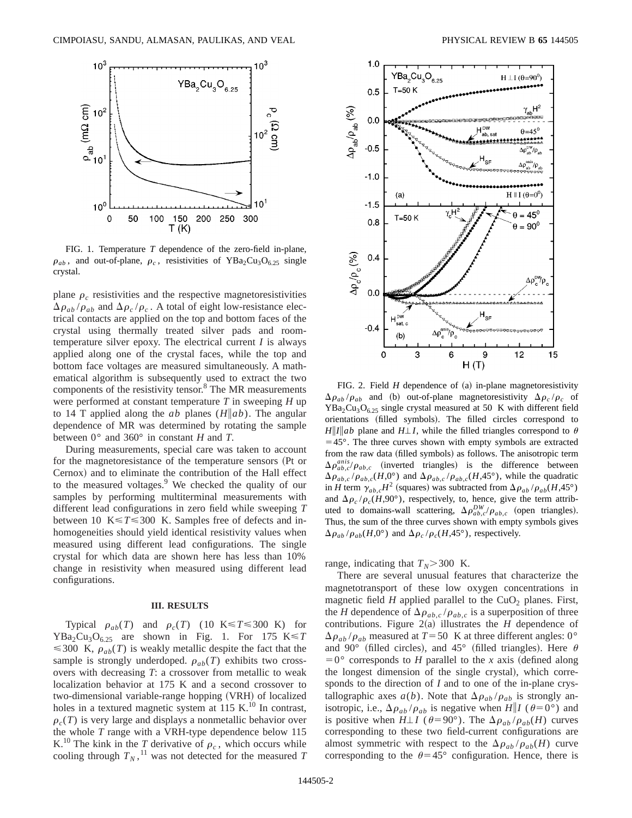

FIG. 1. Temperature *T* dependence of the zero-field in-plane,  $\rho_{ab}$ , and out-of-plane,  $\rho_c$ , resistivities of YBa<sub>2</sub>Cu<sub>3</sub>O<sub>6.25</sub> single crystal.

plane  $\rho_c$  resistivities and the respective magnetoresistivities  $\Delta\rho_{ab}/\rho_{ab}$  and  $\Delta\rho_c/\rho_c$ . A total of eight low-resistance electrical contacts are applied on the top and bottom faces of the crystal using thermally treated silver pads and roomtemperature silver epoxy. The electrical current *I* is always applied along one of the crystal faces, while the top and bottom face voltages are measured simultaneously. A mathematical algorithm is subsequently used to extract the two components of the resistivity tensor.<sup>8</sup> The MR measurements were performed at constant temperature *T* in sweeping *H* up to 14 T applied along the *ab* planes  $(H \| ab)$ . The angular dependence of MR was determined by rotating the sample between 0° and 360° in constant *H* and *T*.

During measurements, special care was taken to account for the magnetoresistance of the temperature sensors (Pt or Cernox) and to eliminate the contribution of the Hall effect to the measured voltages. $9$  We checked the quality of our samples by performing multiterminal measurements with different lead configurations in zero field while sweeping *T* between 10  $K \le T \le 300$  K. Samples free of defects and inhomogeneities should yield identical resistivity values when measured using different lead configurations. The single crystal for which data are shown here has less than 10% change in resistivity when measured using different lead configurations.

#### **III. RESULTS**

Typical  $\rho_{ab}(T)$  and  $\rho_c(T)$  (10 K \le T \le 300 K) for  $YBa_2Cu_3O_{6.25}$  are shown in Fig. 1. For 175 K  $\leq T$  $\leq$  300 K,  $\rho_{ab}(T)$  is weakly metallic despite the fact that the sample is strongly underdoped.  $\rho_{ab}(T)$  exhibits two crossovers with decreasing *T*: a crossover from metallic to weak localization behavior at 175 K and a second crossover to two-dimensional variable-range hopping (VRH) of localized holes in a textured magnetic system at 115 K. $^{10}$  In contrast,  $\rho_c(T)$  is very large and displays a nonmetallic behavior over the whole *T* range with a VRH-type dependence below 115 K.<sup>10</sup> The kink in the *T* derivative of  $\rho_c$ , which occurs while cooling through  $T_N$ ,<sup>11</sup> was not detected for the measured *T* 



FIG. 2. Field  $H$  dependence of  $(a)$  in-plane magnetoresistivity  $\Delta \rho_{ab} / \rho_{ab}$  and (b) out-of-plane magnetoresistivity  $\Delta \rho_c / \rho_c$  of  $YBa<sub>2</sub>Cu<sub>3</sub>O<sub>6.25</sub>$  single crystal measured at 50 K with different field orientations (filled symbols). The filled circles correspond to  $H\|I\|ab$  plane and  $H\perp I$ , while the filled triangles correspond to  $\theta$  $=45^{\circ}$ . The three curves shown with empty symbols are extracted from the raw data (filled symbols) as follows. The anisotropic term  $\Delta \rho_{ab,c}^{anis}/\rho_{ab,c}$  (inverted triangles) is the difference between  $\Delta \rho_{ab,c}/\rho_{ab,c}(H,0^{\circ})$  and  $\Delta \rho_{ab,c}/\rho_{ab,c}(H,45^{\circ})$ , while the quadratic in *H* term  $\gamma_{ab,c}H^2$  (squares) was subtracted from  $\Delta \rho_{ab} / \rho_{ab}(H,45^\circ)$ and  $\Delta \rho_c / \rho_c (H, 90^\circ)$ , respectively, to, hence, give the term attributed to domains-wall scattering,  $\Delta \rho_{ab,c}^{DW}/\rho_{ab,c}$  (open triangles). Thus, the sum of the three curves shown with empty symbols gives  $\Delta \rho_{ab}$  / $\rho_{ab}(H,0^{\circ})$  and  $\Delta \rho_c$  / $\rho_c(H,45^{\circ})$ , respectively.

range, indicating that  $T_N$ >300 K.

There are several unusual features that characterize the magnetotransport of these low oxygen concentrations in magnetic field *H* applied parallel to the  $CuO<sub>2</sub>$  planes. First, the *H* dependence of  $\Delta \rho_{ab,c} / \rho_{ab,c}$  is a superposition of three contributions. Figure  $2(a)$  illustrates the *H* dependence of  $\Delta\rho_{ab}/\rho_{ab}$  measured at *T* = 50 K at three different angles: 0° and 90° (filled circles), and 45° (filled triangles). Here  $\theta$  $=0^{\circ}$  corresponds to *H* parallel to the *x* axis (defined along the longest dimension of the single crystal), which corresponds to the direction of *I* and to one of the in-plane crystallographic axes  $a(b)$ . Note that  $\Delta \rho_{ab} / \rho_{ab}$  is strongly anisotropic, i.e.,  $\Delta \rho_{ab} / \rho_{ab}$  is negative when *H*||*I* ( $\theta = 0^{\circ}$ ) and is positive when  $H \perp I$  ( $\theta = 90^\circ$ ). The  $\Delta \rho_{ab} / \rho_{ab}(H)$  curves corresponding to these two field-current configurations are almost symmetric with respect to the  $\Delta \rho_{ab} / \rho_{ab}(H)$  curve corresponding to the  $\theta$ =45° configuration. Hence, there is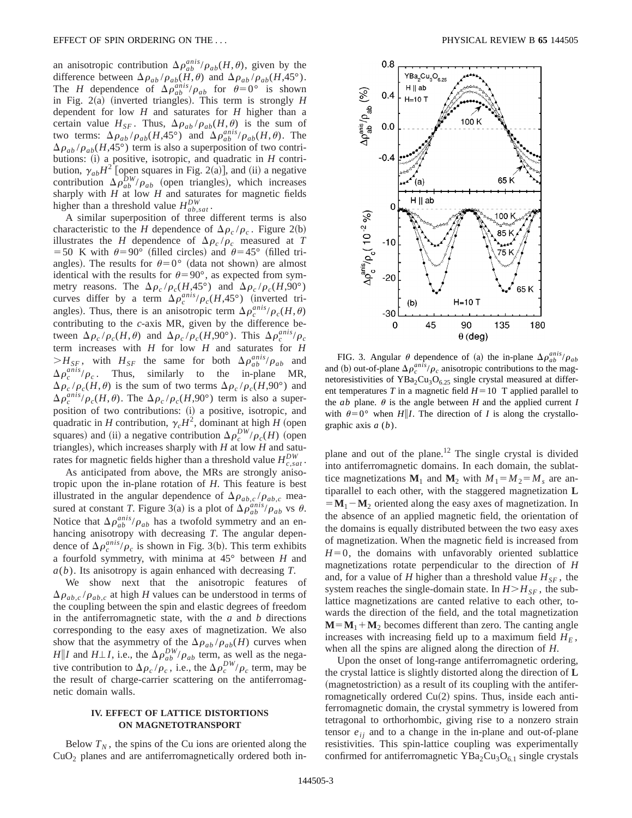an anisotropic contribution  $\Delta \rho_{ab}^{anis}/\rho_{ab}(H,\theta)$ , given by the difference between  $\Delta \rho_{ab} / \rho_{ab}(H,\theta)$  and  $\Delta \rho_{ab} / \rho_{ab}(H,\phi)$ . The *H* dependence of  $\Delta \rho_{ab}^{anis}/\rho_{ab}$  for  $\theta=0^{\circ}$  is shown in Fig.  $2(a)$  (inverted triangles). This term is strongly *H* dependent for low *H* and saturates for *H* higher than a certain value  $H_{SF}$ . Thus,  $\Delta \rho_{ab} / \rho_{ab}(H,\theta)$  is the sum of two terms:  $\Delta \rho_{ab}/\rho_{ab}(H, 45^\circ)$  and  $\Delta \rho_{ab}^{anis}/\rho_{ab}(H, \theta)$ . The  $\Delta \rho_{ab}$  / $\rho_{ab}(H,45^{\circ})$  term is also a superposition of two contributions: (i) a positive, isotropic, and quadratic in *H* contribution,  $\gamma_{ab}H^2$  [open squares in Fig. 2(a)], and (ii) a negative contribution  $\Delta \rho_{ab}^{DW}/\rho_{ab}$  (open triangles), which increases sharply with *H* at low *H* and saturates for magnetic fields higher than a threshold value  $H_{ab,sat}^{DW}$ .

A similar superposition of three different terms is also characteristic to the *H* dependence of  $\Delta \rho_c / \rho_c$ . Figure 2(b) illustrates the *H* dependence of  $\Delta \rho_c / \rho_c$  measured at *T* =50 K with  $\theta$ =90° (filled circles) and  $\theta$ =45° (filled triangles). The results for  $\theta=0^{\circ}$  (data not shown) are almost identical with the results for  $\theta = 90^\circ$ , as expected from symmetry reasons. The  $\Delta \rho_c / \rho_c (H,45^\circ)$  and  $\Delta \rho_c / \rho_c (H,90^\circ)$ curves differ by a term  $\Delta \rho_c^{anis}/\rho_c(H,45^\circ)$  (inverted triangles). Thus, there is an anisotropic term  $\Delta \rho_c^{anis}/\rho_c(H,\theta)$ contributing to the *c*-axis MR, given by the difference between  $\Delta \rho_c / \rho_c(H,\theta)$  and  $\Delta \rho_c / \rho_c(H,\theta)$ . This  $\Delta \rho_c^{anis}/\rho_c$ term increases with *H* for low *H* and saturates for *H*  $>H_{SF}$ , with  $H_{SF}$  the same for both  $\Delta \rho_{ab}^{anis}/\rho_{ab}$  and  $\Delta \rho_c^{anis}/\rho_c$ . Thus, similarly to the in-plane MR,  $\Delta \rho_c / \rho_c(H,\theta)$  is the sum of two terms  $\Delta \rho_c / \rho_c(H,\theta)$  and  $\Delta \rho_c^{anis}/\rho_c(H,\theta)$ . The  $\Delta \rho_c/\rho_c(H,90^\circ)$  term is also a superposition of two contributions: (i) a positive, isotropic, and quadratic in *H* contribution,  $\gamma_c H^2$ , dominant at high *H* (open squares) and (ii) a negative contribution  $\Delta \rho_c^{DW} / \rho_c(H)$  (open triangles), which increases sharply with  $H$  at low  $H$  and saturates for magnetic fields higher than a threshold value  $H_{c,sat}^{DW}$ .

As anticipated from above, the MRs are strongly anisotropic upon the in-plane rotation of *H*. This feature is best illustrated in the angular dependence of  $\Delta \rho_{ab,c} / \rho_{ab,c}$  measured at constant *T*. Figure 3(a) is a plot of  $\Delta \rho_{ab}^{anis}/\rho_{ab}$  vs  $\theta$ . Notice that  $\Delta \rho_{ab}^{anis}/\rho_{ab}$  has a twofold symmetry and an enhancing anisotropy with decreasing *T*. The angular dependence of  $\Delta \rho_c^{anis}/\rho_c$  is shown in Fig. 3(b). This term exhibits a fourfold symmetry, with minima at 45° between *H* and *a*(*b*). Its anisotropy is again enhanced with decreasing *T*.

We show next that the anisotropic features of  $\Delta \rho_{ab,c}$  / $\rho_{ab,c}$  at high *H* values can be understood in terms of the coupling between the spin and elastic degrees of freedom in the antiferromagnetic state, with the *a* and *b* directions corresponding to the easy axes of magnetization. We also show that the asymmetry of the  $\Delta \rho_{ab} / \rho_{ab}(H)$  curves when *H*||*I* and *H* $\perp$ *I*, i.e., the  $\Delta \rho_{ab}^{DW}/\rho_{ab}$  term, as well as the negative contribution to  $\Delta \rho_c / \rho_c$ , i.e., the  $\Delta \rho_c^{DW}/\rho_c$  term, may be the result of charge-carrier scattering on the antiferromagnetic domain walls.

## **IV. EFFECT OF LATTICE DISTORTIONS ON MAGNETOTRANSPORT**

Below  $T_N$ , the spins of the Cu ions are oriented along the  $CuO<sub>2</sub>$  planes and are antiferromagnetically ordered both in-



FIG. 3. Angular  $\theta$  dependence of (a) the in-plane  $\Delta \rho_{ab}^{anis}/\rho_{ab}$ and (b) out-of-plane  $\Delta \rho_c^{anis}/\rho_c$  anisotropic contributions to the magnetoresistivities of  $YBa<sub>2</sub>Cu<sub>3</sub>O<sub>6.25</sub>$  single crystal measured at different temperatures *T* in a magnetic field  $H=10$  T applied parallel to the *ab* plane.  $\theta$  is the angle between *H* and the applied current *I* with  $\theta = 0^{\circ}$  when *H*||*I*. The direction of *I* is along the crystallographic axis *a* (*b*).

plane and out of the plane.<sup>12</sup> The single crystal is divided into antiferromagnetic domains. In each domain, the sublattice magnetizations  $M_1$  and  $M_2$  with  $M_1 = M_2 = M_s$  are antiparallel to each other, with the staggered magnetization **L**  $=$ **M**<sub>1</sub> $-$ **M**<sub>2</sub> oriented along the easy axes of magnetization. In the absence of an applied magnetic field, the orientation of the domains is equally distributed between the two easy axes of magnetization. When the magnetic field is increased from  $H=0$ , the domains with unfavorably oriented sublattice magnetizations rotate perpendicular to the direction of *H* and, for a value of *H* higher than a threshold value  $H_{SF}$ , the system reaches the single-domain state. In  $H > H_{SF}$ , the sublattice magnetizations are canted relative to each other, towards the direction of the field, and the total magnetization  $M = M_1 + M_2$  becomes different than zero. The canting angle increases with increasing field up to a maximum field  $H_F$ , when all the spins are aligned along the direction of *H*.

Upon the onset of long-range antiferromagnetic ordering, the crystal lattice is slightly distorted along the direction of **L**  $(magnetostriction)$  as a result of its coupling with the antiferromagnetically ordered  $Cu(2)$  spins. Thus, inside each antiferromagnetic domain, the crystal symmetry is lowered from tetragonal to orthorhombic, giving rise to a nonzero strain tensor  $e_{ii}$  and to a change in the in-plane and out-of-plane resistivities. This spin-lattice coupling was experimentally confirmed for antiferromagnetic  $YBa<sub>2</sub>Cu<sub>3</sub>O<sub>61</sub>$  single crystals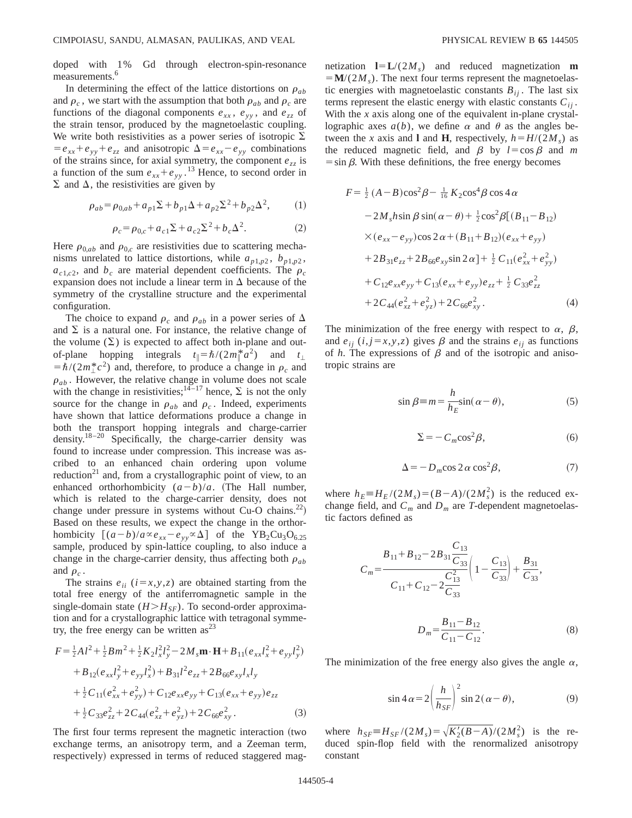doped with 1% Gd through electron-spin-resonance measurements.<sup>6</sup>

In determining the effect of the lattice distortions on  $\rho_{ab}$ and  $\rho_c$ , we start with the assumption that both  $\rho_{ab}$  and  $\rho_c$  are functions of the diagonal components  $e_{xx}$ ,  $e_{yy}$ , and  $e_{zz}$  of the strain tensor, produced by the magnetoelastic coupling. We write both resistivities as a power series of isotropic  $\Sigma$  $= e_{xx} + e_{yy} + e_{zz}$  and anisotropic  $\Delta = e_{xx} - e_{yy}$  combinations of the strains since, for axial symmetry, the component  $e_{zz}$  is a function of the sum  $e_{xx} + e_{yy}$ .<sup>13</sup> Hence, to second order in  $\Sigma$  and  $\Delta$ , the resistivities are given by

$$
\rho_{ab} = \rho_{0,ab} + a_{p1} \Sigma + b_{p1} \Delta + a_{p2} \Sigma^2 + b_{p2} \Delta^2, \tag{1}
$$

$$
\rho_c = \rho_{0,c} + a_{c1} \Sigma + a_{c2} \Sigma^2 + b_c \Delta^2.
$$
 (2)

Here  $\rho_{0,ab}$  and  $\rho_{0,c}$  are resistivities due to scattering mechanisms unrelated to lattice distortions, while  $a_{p1,p2}$ ,  $b_{p1,p2}$ ,  $a_{c1,c2}$ , and  $b_c$  are material dependent coefficients. The  $\rho_c$ expansion does not include a linear term in  $\Delta$  because of the symmetry of the crystalline structure and the experimental configuration.

The choice to expand  $\rho_c$  and  $\rho_{ab}$  in a power series of  $\Delta$ and  $\Sigma$  is a natural one. For instance, the relative change of the volume  $(\Sigma)$  is expected to affect both in-plane and outof-plane hopping integrals  $t_{\parallel} = \hbar/(2m_{\parallel}^* a^2)$  and  $t_{\perp}$  $= \hbar/(2m_{\perp}^{*}c^{2})$  and, therefore, to produce a change in  $\rho_{c}$  and  $\rho_{ab}$ . However, the relative change in volume does not scale with the change in resistivities;  $14-17$  hence,  $\Sigma$  is not the only source for the change in  $\rho_{ab}$  and  $\rho_c$ . Indeed, experiments have shown that lattice deformations produce a change in both the transport hopping integrals and charge-carrier density.18–20 Specifically, the charge-carrier density was found to increase under compression. This increase was ascribed to an enhanced chain ordering upon volume reduction<sup>21</sup> and, from a crystallographic point of view, to an enhanced orthorhombicity  $(a-b)/a$ . (The Hall number, which is related to the charge-carrier density, does not change under pressure in systems without Cu-O chains.<sup>22</sup>) Based on these results, we expect the change in the orthorhombicity  $[(a-b)/a \propto e_{xx} - e_{yy} \propto \Delta]$  of the YB<sub>2</sub>Cu<sub>3</sub>O<sub>6.25</sub> sample, produced by spin-lattice coupling, to also induce a change in the charge-carrier density, thus affecting both  $\rho_{ab}$ and  $\rho_c$ .

The strains  $e_{ii}$  ( $i=x,y,z$ ) are obtained starting from the total free energy of the antiferromagnetic sample in the single-domain state  $(H>H<sub>SF</sub>)$ . To second-order approximation and for a crystallographic lattice with tetragonal symmetry, the free energy can be written  $as^{23}$ 

$$
F = \frac{1}{2}Al^2 + \frac{1}{2}Bm^2 + \frac{1}{2}K_2l_x^2l_y^2 - 2M_s\mathbf{m} \cdot \mathbf{H} + B_{11}(e_{xx}l_x^2 + e_{yy}l_y^2)
$$
  
+  $B_{12}(e_{xx}l_y^2 + e_{yy}l_x^2) + B_{31}l^2e_{zz} + 2B_{66}e_{xy}l_xl_y$   
+  $\frac{1}{2}C_{11}(e_{xx}^2 + e_{yy}^2) + C_{12}e_{xx}e_{yy} + C_{13}(e_{xx} + e_{yy})e_{zz}$   
+  $\frac{1}{2}C_{33}e_{zz}^2 + 2C_{44}(e_{xz}^2 + e_{yz}^2) + 2C_{66}e_{xy}^2$ . (3)

The first four terms represent the magnetic interaction (two exchange terms, an anisotropy term, and a Zeeman term, respectively) expressed in terms of reduced staggered magnetization  $\mathbf{l} = \mathbf{L}/(2M_s)$  and reduced magnetization **m**  $= M/(2M_s)$ . The next four terms represent the magnetoelastic energies with magnetoelastic constants  $B_{ij}$ . The last six terms represent the elastic energy with elastic constants  $C_{ij}$ . With the *x* axis along one of the equivalent in-plane crystallographic axes  $a(b)$ , we define  $\alpha$  and  $\theta$  as the angles between the *x* axis and **l** and **H**, respectively,  $h = H/(2M_s)$  as the reduced magnetic field, and  $\beta$  by  $l = \cos \beta$  and *m*  $\sin \beta$ . With these definitions, the free energy becomes

$$
F = \frac{1}{2} (A - B) \cos^{2} \beta - \frac{1}{16} K_{2} \cos^{4} \beta \cos 4 \alpha
$$
  
\n
$$
- 2M_{s} h \sin \beta \sin(\alpha - \theta) + \frac{1}{2} \cos^{2} \beta [(B_{11} - B_{12})
$$
  
\n
$$
\times (e_{xx} - e_{yy}) \cos 2 \alpha + (B_{11} + B_{12}) (e_{xx} + e_{yy})
$$
  
\n
$$
+ 2B_{31} e_{zz} + 2B_{66} e_{xy} \sin 2 \alpha] + \frac{1}{2} C_{11} (e_{xx}^{2} + e_{yy}^{2})
$$
  
\n
$$
+ C_{12} e_{xx} e_{yy} + C_{13} (e_{xx} + e_{yy}) e_{zz} + \frac{1}{2} C_{33} e_{zz}^{2}
$$
  
\n
$$
+ 2C_{44} (e_{xz}^{2} + e_{yz}^{2}) + 2C_{66} e_{xy}^{2}.
$$
 (4)

The minimization of the free energy with respect to  $\alpha$ ,  $\beta$ , and  $e_{ii}$  (*i*, *j* = *x*,*y*,*z*) gives  $\beta$  and the strains  $e_{ii}$  as functions of  $h$ . The expressions of  $\beta$  and of the isotropic and anisotropic strains are

$$
\sin \beta = m = \frac{h}{h_E} \sin(\alpha - \theta),\tag{5}
$$

$$
\Sigma = -C_m \cos^2 \beta,\tag{6}
$$

$$
\Delta = -D_m \cos 2\alpha \cos^2 \beta, \tag{7}
$$

where  $h_E \equiv H_E/(2M_s) = (B-A)/(2M_s^2)$  is the reduced exchange field, and  $C_m$  and  $D_m$  are *T*-dependent magnetoelastic factors defined as

$$
C_m = \frac{B_{11} + B_{12} - 2B_{31} \frac{C_{13}}{C_{33}}}{C_{11} + C_{12} - 2\frac{C_{13}^2}{C_{33}}} \left(1 - \frac{C_{13}}{C_{33}}\right) + \frac{B_{31}}{C_{33}},
$$

$$
D_m = \frac{B_{11} - B_{12}}{C_{11} - C_{12}}.
$$
(8)

The minimization of the free energy also gives the angle  $\alpha$ ,

$$
\sin 4\alpha = 2\left(\frac{h}{h_{SF}}\right)^2 \sin 2(\alpha - \theta),\tag{9}
$$

where  $h_{SF} = H_{SF}/(2M_s) = \sqrt{K_2'(B-A)}/(2M_s^2)$  is the reduced spin-flop field with the renormalized anisotropy constant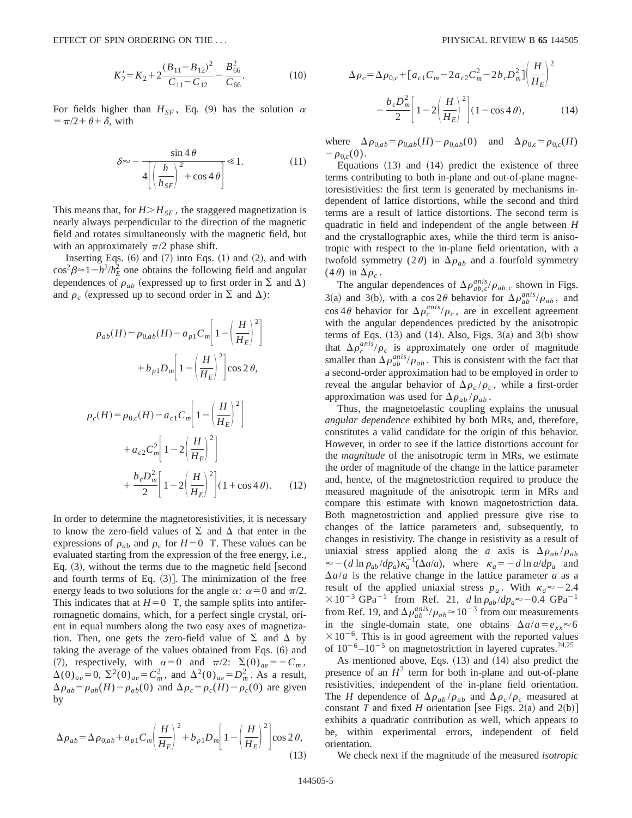$$
K_2' = K_2 + 2\frac{(B_{11} - B_{12})^2}{C_{11} - C_{12}} - \frac{B_{66}^2}{C_{66}}.
$$
 (10)

For fields higher than  $H_{SF}$ , Eq. (9) has the solution  $\alpha$  $= \pi/2 + \theta + \delta$ , with

$$
\delta \approx -\frac{\sin 4\theta}{4\left[\left(\frac{h}{h_{SF}}\right)^2 + \cos 4\theta\right]} \ll 1.
$$
 (11)

This means that, for  $H > H_{SF}$ , the staggered magnetization is nearly always perpendicular to the direction of the magnetic field and rotates simultaneously with the magnetic field, but with an approximately  $\pi/2$  phase shift.

Inserting Eqs.  $(6)$  and  $(7)$  into Eqs.  $(1)$  and  $(2)$ , and with  $\cos^2 \beta \approx 1 - h^2/h_E^2$  one obtains the following field and angular dependences of  $\rho_{ab}$  (expressed up to first order in  $\Sigma$  and  $\Delta$ ) and  $\rho_c$  (expressed up to second order in  $\Sigma$  and  $\Delta$ ):

$$
\rho_{ab}(H) = \rho_{0,ab}(H) - a_{p1}C_m \left[ 1 - \left(\frac{H}{H_E}\right)^2 \right]
$$
  
+  $b_{p1}D_m \left[ 1 - \left(\frac{H}{H_E}\right)^2 \right] \cos 2\theta$ ,  

$$
\rho_c(H) = \rho_{0,c}(H) - a_{c1}C_m \left[ 1 - \left(\frac{H}{H_E}\right)^2 \right]
$$
  
+  $a_{c2}C_m^2 \left[ 1 - 2\left(\frac{H}{H_E}\right)^2 \right]$   
+  $\frac{b_cD_m^2}{2} \left[ 1 - 2\left(\frac{H}{H_E}\right)^2 \right] (1 + \cos 4\theta).$  (12)

In order to determine the magnetoresistivities, it is necessary to know the zero-field values of  $\Sigma$  and  $\Delta$  that enter in the expressions of  $\rho_{ab}$  and  $\rho_c$  for  $H=0$  T. These values can be evaluated starting from the expression of the free energy, i.e., Eq.  $(3)$ , without the terms due to the magnetic field [second] and fourth terms of Eq.  $(3)$ ]. The minimization of the free energy leads to two solutions for the angle  $\alpha$ :  $\alpha=0$  and  $\pi/2$ . This indicates that at  $H=0$  T, the sample splits into antiferromagnetic domains, which, for a perfect single crystal, orient in equal numbers along the two easy axes of magnetization. Then, one gets the zero-field value of  $\Sigma$  and  $\Delta$  by taking the average of the values obtained from Eqs.  $(6)$  and (7), respectively, with  $\alpha=0$  and  $\pi/2$ :  $\Sigma(0)_{av}=-C_m$ ,  $\Delta(0)_{av} = 0$ ,  $\Sigma^2(0)_{av} = C_m^2$ , and  $\Delta^2(0)_{av} = D_m^2$ . As a result,  $\Delta \rho_{ab} = \rho_{ab}(H) - \rho_{ab}(0)$  and  $\Delta \rho_c = \rho_c(H) - \rho_c(0)$  are given by

$$
\Delta \rho_{ab} = \Delta \rho_{0,ab} + a_{p1} C_m \left(\frac{H}{H_E}\right)^2 + b_{p1} D_m \left[1 - \left(\frac{H}{H_E}\right)^2\right] \cos 2\theta,
$$
\n(13)

$$
\Delta \rho_c = \Delta \rho_{0,c} + [a_{c1}C_m - 2a_{c2}C_m^2 - 2b_cD_m^2] \left(\frac{H}{H_E}\right)^2 - \frac{b_cD_m^2}{2} \left[1 - 2\left(\frac{H}{H_E}\right)^2\right] (1 - \cos 4\theta), \tag{14}
$$

where  $\Delta \rho_{0,ab} = \rho_{0,ab}(H) - \rho_{0,ab}(0)$  and  $\Delta \rho_{0,c} = \rho_{0,c}(H)$  $-\rho_{0,c}(0)$ .

Equations  $(13)$  and  $(14)$  predict the existence of three terms contributing to both in-plane and out-of-plane magnetoresistivities: the first term is generated by mechanisms independent of lattice distortions, while the second and third terms are a result of lattice distortions. The second term is quadratic in field and independent of the angle between *H* and the crystallographic axes, while the third term is anisotropic with respect to the in-plane field orientation, with a twofold symmetry  $(2\theta)$  in  $\Delta \rho_{ab}$  and a fourfold symmetry  $(4\theta)$  in  $\Delta \rho_c$ .

The angular dependences of  $\Delta \rho_{ab,c}^{anis}/\rho_{ab,c}$  shown in Figs. 3(a) and 3(b), with a cos  $2\theta$  behavior for  $\Delta \rho_{ab}^{anis}/\rho_{ab}$ , and  $\cos 4\theta$  behavior for  $\Delta \rho_c^{anis}/\rho_c$ , are in excellent agreement with the angular dependences predicted by the anisotropic terms of Eqs.  $(13)$  and  $(14)$ . Also, Figs. 3 $(a)$  and 3 $(b)$  show that  $\Delta \rho_c^{anis}/\rho_c$  is approximately one order of magnitude smaller than  $\Delta \rho_{ab}^{anis}/\rho_{ab}$ . This is consistent with the fact that a second-order approximation had to be employed in order to reveal the angular behavior of  $\Delta \rho_c / \rho_c$ , while a first-order approximation was used for  $\Delta \rho_{ab} / \rho_{ab}$ .

Thus, the magnetoelastic coupling explains the unusual *angular dependence* exhibited by both MRs, and, therefore, constitutes a valid candidate for the origin of this behavior. However, in order to see if the lattice distortions account for the *magnitude* of the anisotropic term in MRs, we estimate the order of magnitude of the change in the lattice parameter and, hence, of the magnetostriction required to produce the measured magnitude of the anisotropic term in MRs and compare this estimate with known magnetostriction data. Both magnetostriction and applied pressure give rise to changes of the lattice parameters and, subsequently, to changes in resistivity. The change in resistivity as a result of uniaxial stress applied along the *a* axis is  $\Delta \rho_{ab} / \rho_{ab}$  $\approx$   $-(d \ln \rho_{ab}/dp_a)\kappa_a^{-1}(\Delta a/a)$ , where  $\kappa_a = -d \ln a/dp_a$  and  $\Delta a/a$  is the relative change in the lattice parameter *a* as a result of the applied uniaxial stress  $p_a$ . With  $\kappa_a \approx -2.4$  $\times 10^{-3}$  GPa<sup>-1</sup> from Ref. 21, *d* ln  $\rho_{ab}/dp_a \approx -0.4$  GPa<sup>-1</sup> from Ref. 19, and  $\Delta \rho_{ab}^{anis}/\rho_{ab} \approx 10^{-3}$  from our measurements in the single-domain state, one obtains  $\Delta a/a = e_{xx} \approx 6$  $\times 10^{-6}$ . This is in good agreement with the reported values of  $10^{-6}$ – $10^{-5}$  on magnetostriction in layered cuprates.<sup>24,25</sup>

As mentioned above, Eqs.  $(13)$  and  $(14)$  also predict the presence of an  $H^2$  term for both in-plane and out-of-plane resistivities, independent of the in-plane field orientation. The *H* dependence of  $\Delta \rho_{ab}/\rho_{ab}$  and  $\Delta \rho_c/\rho_c$  measured at constant *T* and fixed *H* orientation [see Figs. 2(a) and 2(b)] exhibits a quadratic contribution as well, which appears to be, within experimental errors, independent of field orientation.

We check next if the magnitude of the measured *isotropic*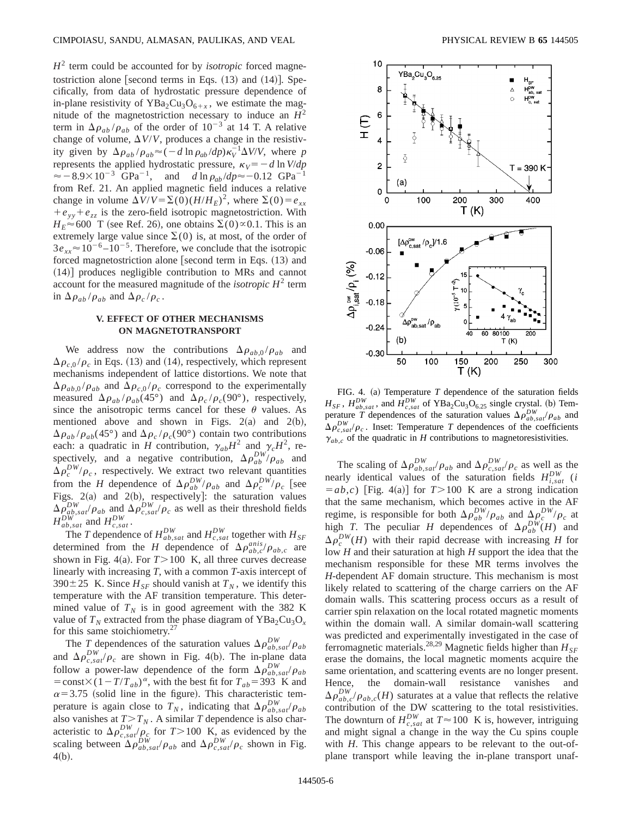$H<sup>2</sup>$  term could be accounted for by *isotropic* forced magnetostriction alone [second terms in Eqs.  $(13)$  and  $(14)$ ]. Specifically, from data of hydrostatic pressure dependence of in-plane resistivity of  $YBa<sub>2</sub>Cu<sub>3</sub>O<sub>6+x</sub>$ , we estimate the magnitude of the magnetostriction necessary to induce an  $H^2$ term in  $\Delta \rho_{ab} / \rho_{ab}$  of the order of 10<sup>-3</sup> at 14 T. A relative change of volume,  $\Delta V/V$ , produces a change in the resistivity given by  $\Delta \rho_{ab}/\rho_{ab} \approx (-d \ln \rho_{ab}/dp) \kappa_V^{-1} \Delta V/V$ , where *p* represents the applied hydrostatic pressure,  $\kappa_V = -d \ln V/dp$  $\approx -8.9 \times 10^{-3}$  GPa<sup>-1</sup>, and *d* ln  $\rho_{ab}/dp \approx -0.12$  GPa<sup>-1</sup> from Ref. 21. An applied magnetic field induces a relative change in volume  $\Delta V/V = \Sigma(0)(H/H_E)^2$ , where  $\Sigma(0) = e_{xx}$  $+e_{yy}+e_{zz}$  is the zero-field isotropic magnetostriction. With  $H_E \approx 600$  T (see Ref. 26), one obtains  $\Sigma(0) \approx 0.1$ . This is an extremely large value since  $\Sigma(0)$  is, at most, of the order of  $3e_{xx} \approx 10^{-6} - 10^{-5}$ . Therefore, we conclude that the isotropic forced magnetostriction alone [second term in Eqs.  $(13)$  and  $(14)$ ] produces negligible contribution to MRs and cannot account for the measured magnitude of the *isotropic H*<sup>2</sup> term in  $\Delta \rho_{ab} / \rho_{ab}$  and  $\Delta \rho_c / \rho_c$ .

# **V. EFFECT OF OTHER MECHANISMS ON MAGNETOTRANSPORT**

We address now the contributions  $\Delta \rho_{ab,0} / \rho_{ab}$  and  $\Delta\rho_{c,0}/\rho_c$  in Eqs. (13) and (14), respectively, which represent mechanisms independent of lattice distortions. We note that  $\Delta\rho_{ab,0}/\rho_{ab}$  and  $\Delta\rho_{c,0}/\rho_c$  correspond to the experimentally measured  $\Delta \rho_{ab} / \rho_{ab} (45^\circ)$  and  $\Delta \rho_c / \rho_c (90^\circ)$ , respectively, since the anisotropic terms cancel for these  $\theta$  values. As mentioned above and shown in Figs.  $2(a)$  and  $2(b)$ ,  $\Delta\rho_{ab}/\rho_{ab}(45^\circ)$  and  $\Delta\rho_c/\rho_c(90^\circ)$  contain two contributions each: a quadratic in *H* contribution,  $\gamma_{ab}H^2$  and  $\gamma_cH^2$ , respectively, and a negative contribution,  $\Delta \rho_{ab}^{DW}/\rho_{ab}$  and  $\Delta \rho_c^{DW}/\rho_c$ , respectively. We extract two relevant quantities from the *H* dependence of  $\Delta \rho_{ab}^{DW}/\rho_{ab}$  and  $\Delta \rho_c^{DW}/\rho_c$  [see Figs.  $2(a)$  and  $2(b)$ , respectively]: the saturation values  $\Delta \rho_{ab,sat}^{DW}/\rho_{ab}$  and  $\Delta \rho_{c,sat}^{DW}/\rho_c$  as well as their threshold fields  $H_{ab,sat}^{DW}$  and  $H_{c,sat}^{DW}$ .

The *T* dependence of  $H_{ab,sat}^{DW}$  and  $H_{c,sat}^{DW}$  together with  $H_{SF}$ determined from the *H* dependence of  $\Delta \rho_{ab,c}^{anis}/\rho_{ab,c}$  are shown in Fig. 4(a). For  $T > 100$  K, all three curves decrease linearly with increasing *T*, with a common *T*-axis intercept of 390 $\pm$ 25 K. Since  $H_{SF}$  should vanish at  $T_N$ , we identify this temperature with the AF transition temperature. This determined value of  $T_N$  is in good agreement with the 382 K value of  $T_N$  extracted from the phase diagram of YBa<sub>2</sub>Cu<sub>3</sub>O<sub>x</sub> for this same stoichiometry.<sup>27</sup>

The *T* dependences of the saturation values  $\Delta \rho_{ab,sat}^{DW}/\rho_{ab}$ and  $\Delta \rho_{c,sat}^{DW}/\rho_c$  are shown in Fig. 4(b). The in-plane data follow a power-law dependence of the form  $\Delta \rho_{ab,sat}^{DW}/\rho_{ab}$ = const $\times$ (1-*T*/*T<sub>ab</sub>*)<sup> $\alpha$ </sup>, with the best fit for *T<sub>ab</sub>*=393 K and  $\alpha$ =3.75 (solid line in the figure). This characteristic temperature is again close to  $T_N$ , indicating that  $\Delta \rho_{ab,sat}^{DW}/\rho_{ab}$ also vanishes at  $T>T_N$ . A similar *T* dependence is also characteristic to  $\Delta \rho_{c,sat}^{DW} / \rho_c$  for  $T > 100$  K, as evidenced by the scaling between  $\Delta \rho_{ab,sat}^{DW}/\rho_{ab}$  and  $\Delta \rho_{c,sat}^{DW}/\rho_c$  shown in Fig.  $4(b).$ 



FIG. 4. (a) Temperature  $T$  dependence of the saturation fields  $H_{SF}$ ,  $H_{ab,sat}^{DW}$ , and  $H_{c,sat}^{DW}$  of YBa<sub>2</sub>Cu<sub>3</sub>O<sub>6.25</sub> single crystal. (b) Temperature *T* dependences of the saturation values  $\Delta \rho_{ab,sat}^{DW}/\rho_{ab}$  and  $\Delta \rho_{c,sat}^{DW}/\rho_c$ . Inset: Temperature *T* dependences of the coefficients  $\gamma_{ab,c}$  of the quadratic in *H* contributions to magnetoresistivities.

The scaling of  $\Delta \rho_{ab,sat}^{DW}/\rho_{ab}$  and  $\Delta \rho_{c,sat}^{DW}/\rho_c$  as well as the nearly identical values of the saturation fields  $H_{i,sat}^{DW}$  (*i*  $(a,b,c)$  [Fig. 4(a)] for  $T>100$  K are a strong indication that the same mechanism, which becomes active in the AF regime, is responsible for both  $\Delta \rho_{ab}^{DW}/\rho_{ab}$  and  $\Delta \rho_c^{DW}/\rho_c$  at high *T*. The peculiar *H* dependences of  $\Delta \rho_{ab}^{DW}(H)$  and  $\Delta \rho_c^{DW}(H)$  with their rapid decrease with increasing *H* for low *H* and their saturation at high *H* support the idea that the mechanism responsible for these MR terms involves the *H*-dependent AF domain structure. This mechanism is most likely related to scattering of the charge carriers on the AF domain walls. This scattering process occurs as a result of carrier spin relaxation on the local rotated magnetic moments within the domain wall. A similar domain-wall scattering was predicted and experimentally investigated in the case of ferromagnetic materials.<sup>28,29</sup> Magnetic fields higher than  $H_{SF}$ erase the domains, the local magnetic moments acquire the same orientation, and scattering events are no longer present. Hence, the domain-wall resistance vanishes and  $\Delta \rho_{ab,c}^{DW}/\rho_{ab,c}(H)$  saturates at a value that reflects the relative contribution of the DW scattering to the total resistivities. The downturn of  $H_{c,sat}^{DW}$  at  $T \approx 100$  K is, however, intriguing and might signal a change in the way the Cu spins couple with *H*. This change appears to be relevant to the out-ofplane transport while leaving the in-plane transport unaf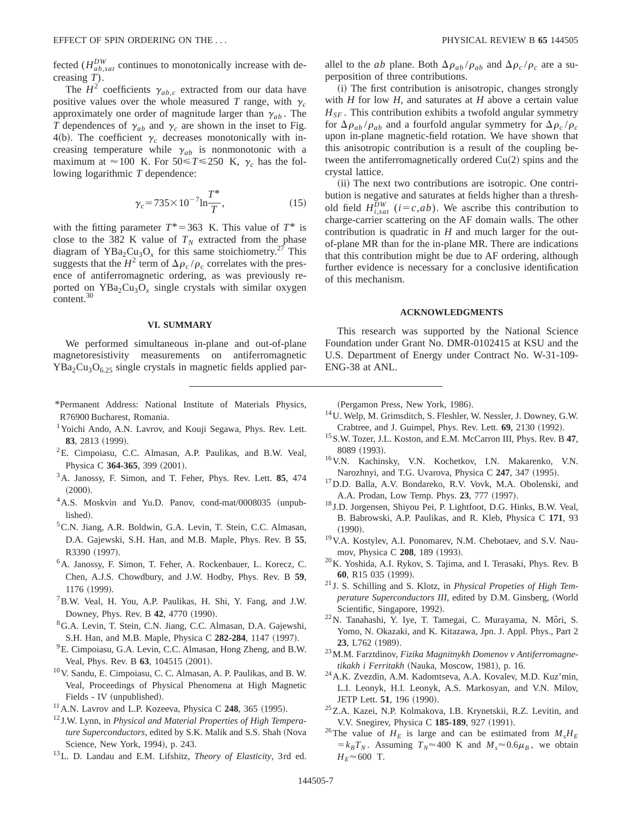fected ( $H_{ab,sat}^{DW}$  continues to monotonically increase with decreasing *T*).

The  $H^2$  coefficients  $\gamma_{ab,c}$  extracted from our data have positive values over the whole measured *T* range, with  $\gamma_c$ approximately one order of magnitude larger than  $\gamma_{ab}$ . The *T* dependences of  $\gamma_{ab}$  and  $\gamma_c$  are shown in the inset to Fig. 4(b). The coefficient  $\gamma_c$  decreases monotonically with increasing temperature while  $\gamma_{ab}$  is nonmonotonic with a maximum at  $\approx 100$  K. For  $50 \le T \le 250$  K,  $\gamma_c$  has the following logarithmic *T* dependence:

$$
\gamma_c = 735 \times 10^{-7} \ln \frac{T^*}{T},\tag{15}
$$

with the fitting parameter  $T^* = 363$  K. This value of  $T^*$  is close to the 382 K value of  $T_N$  extracted from the phase diagram of YBa<sub>2</sub>Cu<sub>3</sub>O<sub>x</sub> for this same stoichiometry.<sup>27</sup> This suggests that the  $H^2$  term of  $\Delta \rho_c / \rho_c$  correlates with the presence of antiferromagnetic ordering, as was previously reported on  $YBa<sub>2</sub>Cu<sub>3</sub>O<sub>x</sub>$  single crystals with similar oxygen content.30

# **VI. SUMMARY**

We performed simultaneous in-plane and out-of-plane magnetoresistivity measurements on antiferromagnetic  $YBa<sub>2</sub>Cu<sub>3</sub>O<sub>6.25</sub>$  single crystals in magnetic fields applied par-

- \*Permanent Address: National Institute of Materials Physics, R76900 Bucharest, Romania.
- <sup>1</sup>Yoichi Ando, A.N. Lavrov, and Kouji Segawa, Phys. Rev. Lett. 83, 2813 (1999).
- <sup>2</sup>E. Cimpoiasu, C.C. Almasan, A.P. Paulikas, and B.W. Veal, Physica C 364-365, 399 (2001).
- 3A. Janossy, F. Simon, and T. Feher, Phys. Rev. Lett. **85**, 474  $(2000).$
- <sup>4</sup> A.S. Moskvin and Yu.D. Panov, cond-mat/0008035 (unpublished).
- <sup>5</sup>C.N. Jiang, A.R. Boldwin, G.A. Levin, T. Stein, C.C. Almasan, D.A. Gajewski, S.H. Han, and M.B. Maple, Phys. Rev. B **55**, R3390 (1997).
- 6A. Janossy, F. Simon, T. Feher, A. Rockenbauer, L. Korecz, C. Chen, A.J.S. Chowdbury, and J.W. Hodby, Phys. Rev. B **59**, 1176 (1999).
- <sup>7</sup> B.W. Veal, H. You, A.P. Paulikas, H. Shi, Y. Fang, and J.W. Downey, Phys. Rev. B 42, 4770 (1990).
- 8G.A. Levin, T. Stein, C.N. Jiang, C.C. Almasan, D.A. Gajewshi, S.H. Han, and M.B. Maple, Physica C 282-284, 1147 (1997).
- <sup>9</sup>E. Cimpoiasu, G.A. Levin, C.C. Almasan, Hong Zheng, and B.W. Veal, Phys. Rev. B 63, 104515 (2001).
- 10V. Sandu, E. Cimpoiasu, C. C. Almasan, A. P. Paulikas, and B. W. Veal, Proceedings of Physical Phenomena at High Magnetic Fields - IV (unpublished).
- $11$ A.N. Lavrov and L.P. Kozeeva, Physica C  $248$ , 365 (1995).
- <sup>12</sup> J.W. Lynn, in *Physical and Material Properties of High Temperature Superconductors*, edited by S.K. Malik and S.S. Shah (Nova Science, New York, 1994), p. 243.
- 13L. D. Landau and E.M. Lifshitz, *Theory of Elasticity*, 3rd ed.

allel to the *ab* plane. Both  $\Delta \rho_{ab} / \rho_{ab}$  and  $\Delta \rho_c / \rho_c$  are a superposition of three contributions.

 $(i)$  The first contribution is anisotropic, changes strongly with *H* for low *H*, and saturates at *H* above a certain value  $H_{SF}$ . This contribution exhibits a twofold angular symmetry for  $\Delta\rho_{ab}/\rho_{ab}$  and a fourfold angular symmetry for  $\Delta\rho_c/\rho_c$ upon in-plane magnetic-field rotation. We have shown that this anisotropic contribution is a result of the coupling between the antiferromagnetically ordered  $Cu(2)$  spins and the crystal lattice.

(ii) The next two contributions are isotropic. One contribution is negative and saturates at fields higher than a threshold field  $H_{i,sat}^{DW}$  ( $i=c,ab$ ). We ascribe this contribution to charge-carrier scattering on the AF domain walls. The other contribution is quadratic in *H* and much larger for the outof-plane MR than for the in-plane MR. There are indications that this contribution might be due to AF ordering, although further evidence is necessary for a conclusive identification of this mechanism.

## **ACKNOWLEDGMENTS**

This research was supported by the National Science Foundation under Grant No. DMR-0102415 at KSU and the U.S. Department of Energy under Contract No. W-31-109- ENG-38 at ANL.

(Pergamon Press, New York, 1986).

- 14U. Welp, M. Grimsditch, S. Fleshler, W. Nessler, J. Downey, G.W. Crabtree, and J. Guimpel, Phys. Rev. Lett. **69**, 2130 (1992).
- 15S.W. Tozer, J.L. Koston, and E.M. McCarron III, Phys. Rev. B **47**, 8089 (1993).
- 16V.N. Kachinsky, V.N. Kochetkov, I.N. Makarenko, V.N. Narozhnyi, and T.G. Uvarova, Physica C 247, 347 (1995).
- 17D.D. Balla, A.V. Bondareko, R.V. Vovk, M.A. Obolenski, and A.A. Prodan, Low Temp. Phys. **23**, 777 (1997).
- <sup>18</sup> J.D. Jorgensen, Shiyou Pei, P. Lightfoot, D.G. Hinks, B.W. Veal, B. Babrowski, A.P. Paulikas, and R. Kleb, Physica C **171**, 93  $(1990).$
- 19V.A. Kostylev, A.I. Ponomarev, N.M. Chebotaev, and S.V. Naumov, Physica C 208, 189 (1993).
- 20K. Yoshida, A.I. Rykov, S. Tajima, and I. Terasaki, Phys. Rev. B 60, R15 035 (1999).
- <sup>21</sup> J. S. Schilling and S. Klotz, in *Physical Propeties of High Temperature Superconductors III*, edited by D.M. Ginsberg, (World Scientific, Singapore, 1992).
- <sup>22</sup>N. Tanahashi, Y. Iye, T. Tamegai, C. Murayama, N. Môri, S. Yomo, N. Okazaki, and K. Kitazawa, Jpn. J. Appl. Phys., Part 2 23, L762 (1989).
- 23M.M. Farztdinov, *Fizika Magnitnykh Domenov v Antiferromagnetikakh i Ferritakh* (Nauka, Moscow, 1981), p. 16.
- 24A.K. Zvezdin, A.M. Kadomtseva, A.A. Kovalev, M.D. Kuz'min, L.I. Leonyk, H.I. Leonyk, A.S. Markosyan, and V.N. Milov, JETP Lett. **51**, 196 (1990).
- 25Z.A. Kazei, N.P. Kolmakova, I.B. Krynetskii, R.Z. Levitin, and V.V. Snegirev, Physica C 185-189, 927 (1991).
- <sup>26</sup>The value of  $H_E$  is large and can be estimated from  $M_s H_E$  $=k_B T_N$ . Assuming  $T_N \approx 400$  K and  $M_s \approx 0.6 \mu_B$ , we obtain  $H_F$  $\approx$  600 T.